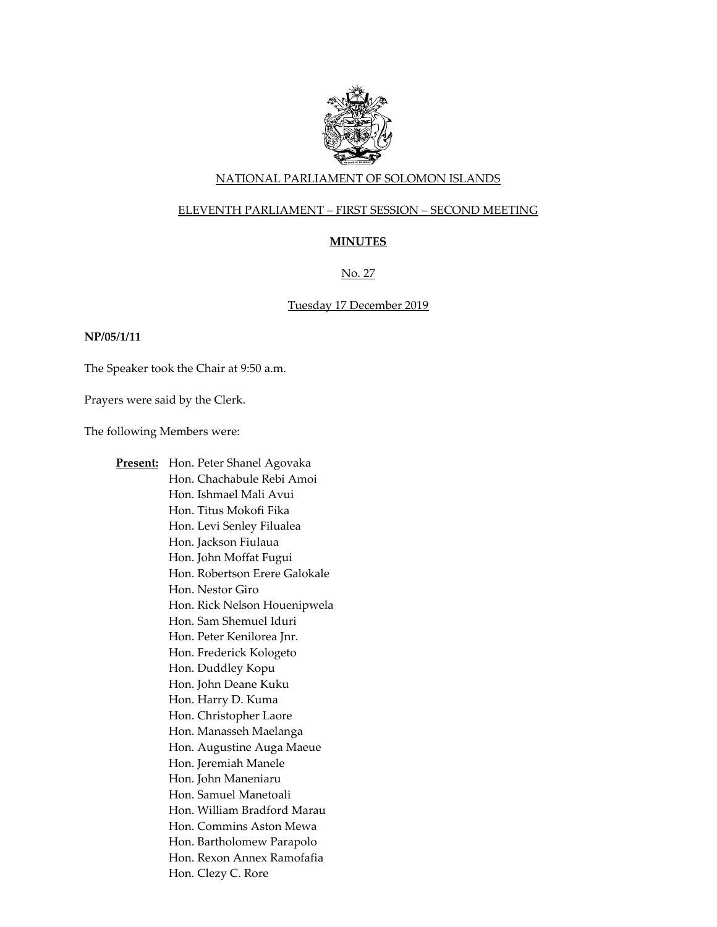

# NATIONAL PARLIAMENT OF SOLOMON ISLANDS

# ELEVENTH PARLIAMENT – FIRST SESSION – SECOND MEETING

# **MINUTES**

# No. 27

### Tuesday 17 December 2019

### **NP/05/1/11**

The Speaker took the Chair at 9:50 a.m.

Prayers were said by the Clerk.

The following Members were:

**Present:** Hon. Peter Shanel Agovaka Hon. Chachabule Rebi Amoi Hon. Ishmael Mali Avui Hon. Titus Mokofi Fika Hon. Levi Senley Filualea Hon. Jackson Fiulaua Hon. John Moffat Fugui Hon. Robertson Erere Galokale Hon. Nestor Giro Hon. Rick Nelson Houenipwela Hon. Sam Shemuel Iduri Hon. Peter Kenilorea Jnr. Hon. Frederick Kologeto Hon. Duddley Kopu Hon. John Deane Kuku Hon. Harry D. Kuma Hon. Christopher Laore Hon. Manasseh Maelanga Hon. Augustine Auga Maeue Hon. Jeremiah Manele Hon. John Maneniaru Hon. Samuel Manetoali Hon. William Bradford Marau Hon. Commins Aston Mewa Hon. Bartholomew Parapolo Hon. Rexon Annex Ramofafia Hon. Clezy C. Rore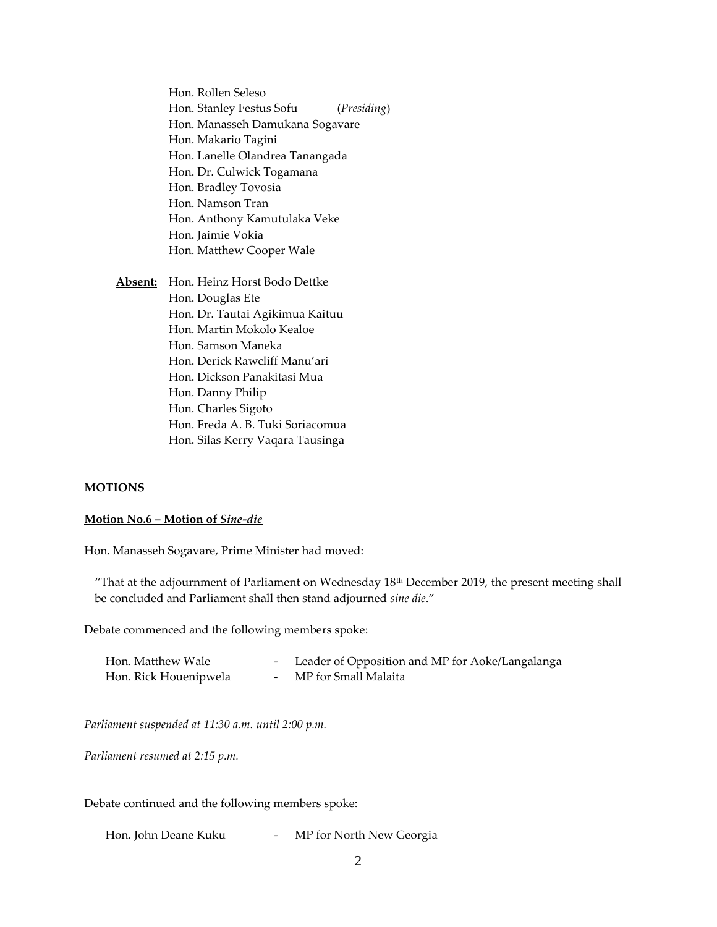Hon. Rollen Seleso Hon. Stanley Festus Sofu (*Presiding*) Hon. Manasseh Damukana Sogavare Hon. Makario Tagini Hon. Lanelle Olandrea Tanangada Hon. Dr. Culwick Togamana Hon. Bradley Tovosia Hon. Namson Tran Hon. Anthony Kamutulaka Veke Hon. Jaimie Vokia Hon. Matthew Cooper Wale

**Absent:** Hon. Heinz Horst Bodo Dettke Hon. Douglas Ete Hon. Dr. Tautai Agikimua Kaituu Hon. Martin Mokolo Kealoe Hon. Samson Maneka Hon. Derick Rawcliff Manu'ari Hon. Dickson Panakitasi Mua Hon. Danny Philip Hon. Charles Sigoto Hon. Freda A. B. Tuki Soriacomua Hon. Silas Kerry Vaqara Tausinga

#### **MOTIONS**

#### **Motion No.6 – Motion of** *Sine-die*

Hon. Manasseh Sogavare, Prime Minister had moved:

"That at the adjournment of Parliament on Wednesday 18th December 2019, the present meeting shall be concluded and Parliament shall then stand adjourned *sine die*."

Debate commenced and the following members spoke:

| Hon. Matthew Wale     | - Leader of Opposition and MP for Aoke/Langalanga |
|-----------------------|---------------------------------------------------|
| Hon. Rick Houenipwela | MP for Small Malaita                              |

*Parliament suspended at 11:30 a.m. until 2:00 p.m.* 

*Parliament resumed at 2:15 p.m.*

Debate continued and the following members spoke:

Hon. John Deane Kuku - MP for North New Georgia